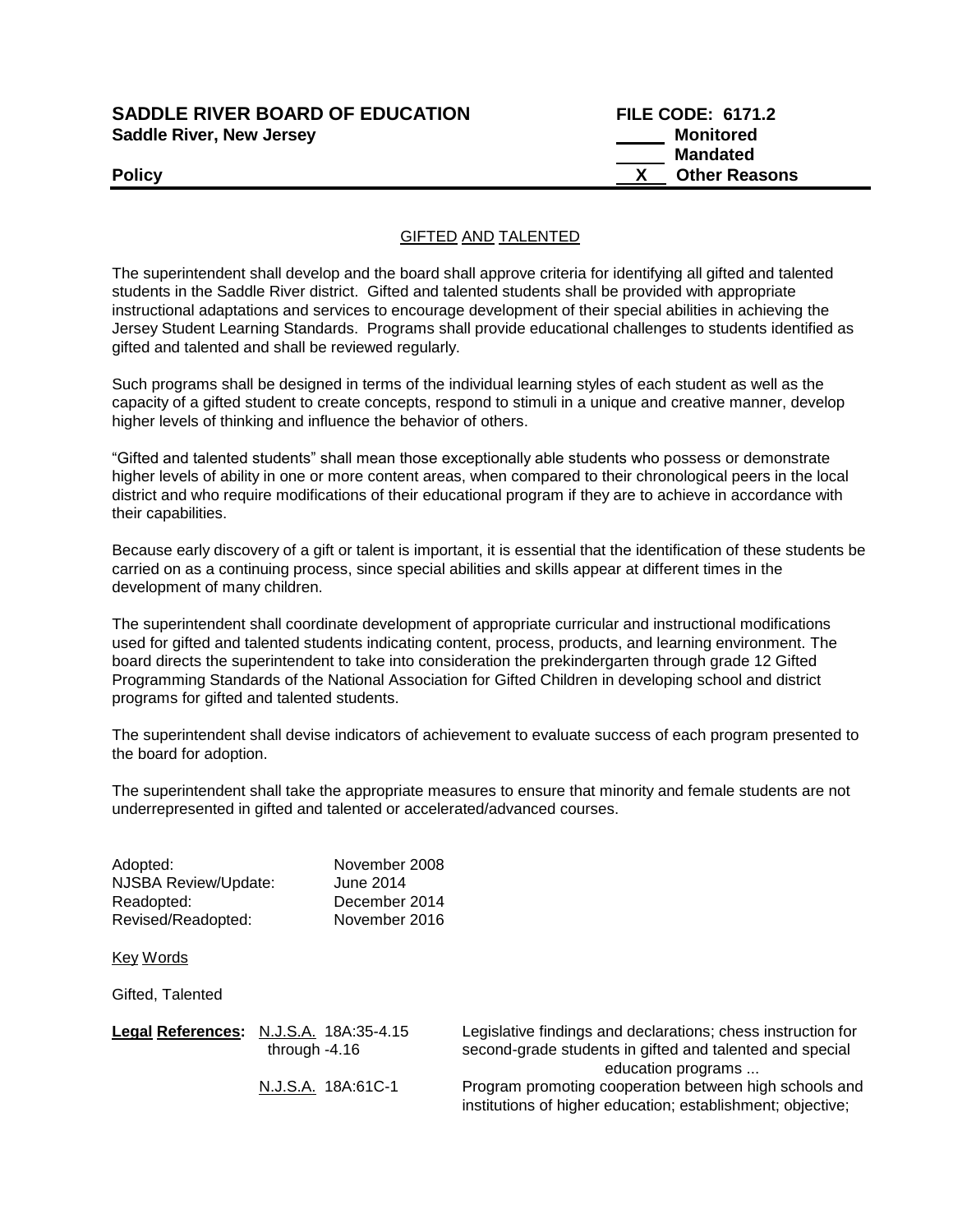## **SADDLE RIVER BOARD OF EDUCATION FILE CODE: 6171.2 Saddle River, New Jersey Monitored**

# **Mandated Policy X** Other Reasons

GIFTED AND TALENTED

The superintendent shall develop and the board shall approve criteria for identifying all gifted and talented students in the Saddle River district. Gifted and talented students shall be provided with appropriate instructional adaptations and services to encourage development of their special abilities in achieving the Jersey Student Learning Standards. Programs shall provide educational challenges to students identified as gifted and talented and shall be reviewed regularly.

Such programs shall be designed in terms of the individual learning styles of each student as well as the capacity of a gifted student to create concepts, respond to stimuli in a unique and creative manner, develop higher levels of thinking and influence the behavior of others.

"Gifted and talented students" shall mean those exceptionally able students who possess or demonstrate higher levels of ability in one or more content areas, when compared to their chronological peers in the local district and who require modifications of their educational program if they are to achieve in accordance with their capabilities.

Because early discovery of a gift or talent is important, it is essential that the identification of these students be carried on as a continuing process, since special abilities and skills appear at different times in the development of many children.

The superintendent shall coordinate development of appropriate curricular and instructional modifications used for gifted and talented students indicating content, process, products, and learning environment. The board directs the superintendent to take into consideration the prekindergarten through grade 12 Gifted Programming Standards of the National Association for Gifted Children in developing school and district programs for gifted and talented students.

The superintendent shall devise indicators of achievement to evaluate success of each program presented to the board for adoption.

The superintendent shall take the appropriate measures to ensure that minority and female students are not underrepresented in gifted and talented or accelerated/advanced courses.

| Adopted:             | November 2008 |
|----------------------|---------------|
| NJSBA Review/Update: | June 2014     |
| Readopted:           | December 2014 |
| Revised/Readopted:   | November 2016 |

Key Words

Gifted, Talented

| Legal References: N.J.S.A. 18A:35-4.15<br>through $-4.16$ | Legislative findings and declarations; chess instruction for<br>second-grade students in gifted and talented and special |
|-----------------------------------------------------------|--------------------------------------------------------------------------------------------------------------------------|
|                                                           | education programs                                                                                                       |
| N.J.S.A. 18A:61C-1                                        | Program promoting cooperation between high schools and                                                                   |
|                                                           | institutions of higher education; establishment; objective;                                                              |